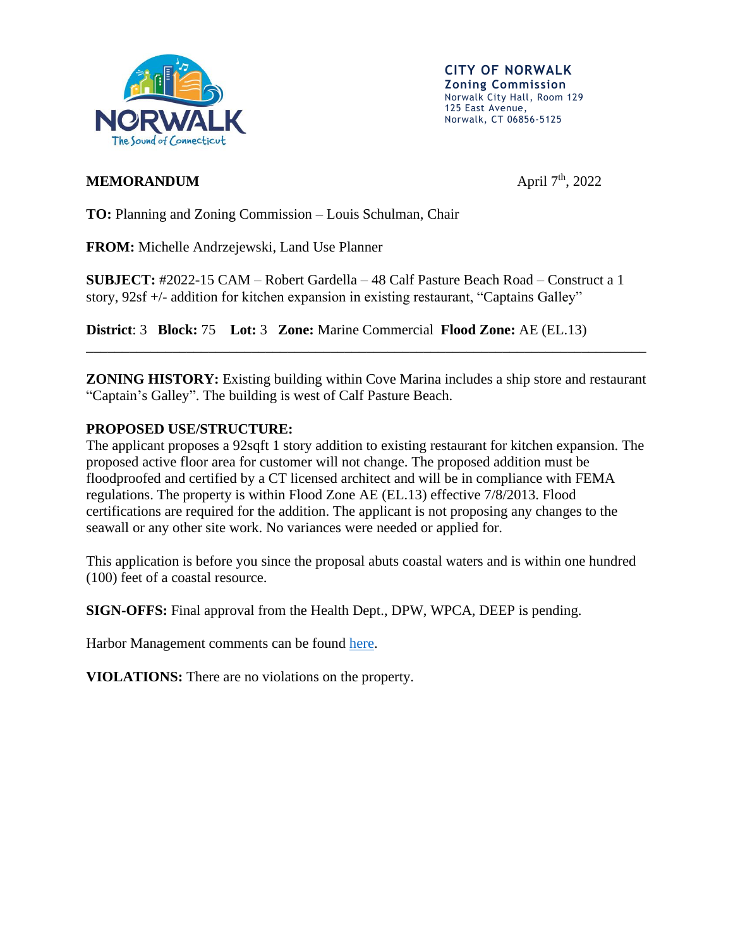

**CITY OF NORWALK Zoning Commission** Norwalk City Hall, Room 129 125 East Avenue, Norwalk, CT 06856-5125

## **MEMORANDUM**

April  $7^{\text{th}}$ , 2022

**TO:** Planning and Zoning Commission – Louis Schulman, Chair

**FROM:** Michelle Andrzejewski, Land Use Planner

**SUBJECT:** #2022-15 CAM – Robert Gardella – 48 Calf Pasture Beach Road – Construct a 1 story, 92sf +/- addition for kitchen expansion in existing restaurant, "Captains Galley"

**District**: 3 **Block:** 75 **Lot:** 3 **Zone:** Marine Commercial **Flood Zone:** AE (EL.13)

**ZONING HISTORY:** Existing building within Cove Marina includes a ship store and restaurant "Captain's Galley". The building is west of Calf Pasture Beach.

\_\_\_\_\_\_\_\_\_\_\_\_\_\_\_\_\_\_\_\_\_\_\_\_\_\_\_\_\_\_\_\_\_\_\_\_\_\_\_\_\_\_\_\_\_\_\_\_\_\_\_\_\_\_\_\_\_\_\_\_\_\_\_\_\_\_\_\_\_\_\_\_\_\_\_\_\_\_

## **PROPOSED USE/STRUCTURE:**

The applicant proposes a 92sqft 1 story addition to existing restaurant for kitchen expansion. The proposed active floor area for customer will not change. The proposed addition must be floodproofed and certified by a CT licensed architect and will be in compliance with FEMA regulations. The property is within Flood Zone AE (EL.13) effective 7/8/2013. Flood certifications are required for the addition. The applicant is not proposing any changes to the seawall or any other site work. No variances were needed or applied for.

This application is before you since the proposal abuts coastal waters and is within one hundred (100) feet of a coastal resource.

**SIGN-OFFS:** Final approval from the Health Dept., DPW, WPCA, DEEP is pending.

Harbor Management comments can be found [here.](https://www.norwalkct.org/DocumentCenter/View/26343/NHMC-48-Calf-Pasture-Beach-Road-CAM-033022)

**VIOLATIONS:** There are no violations on the property.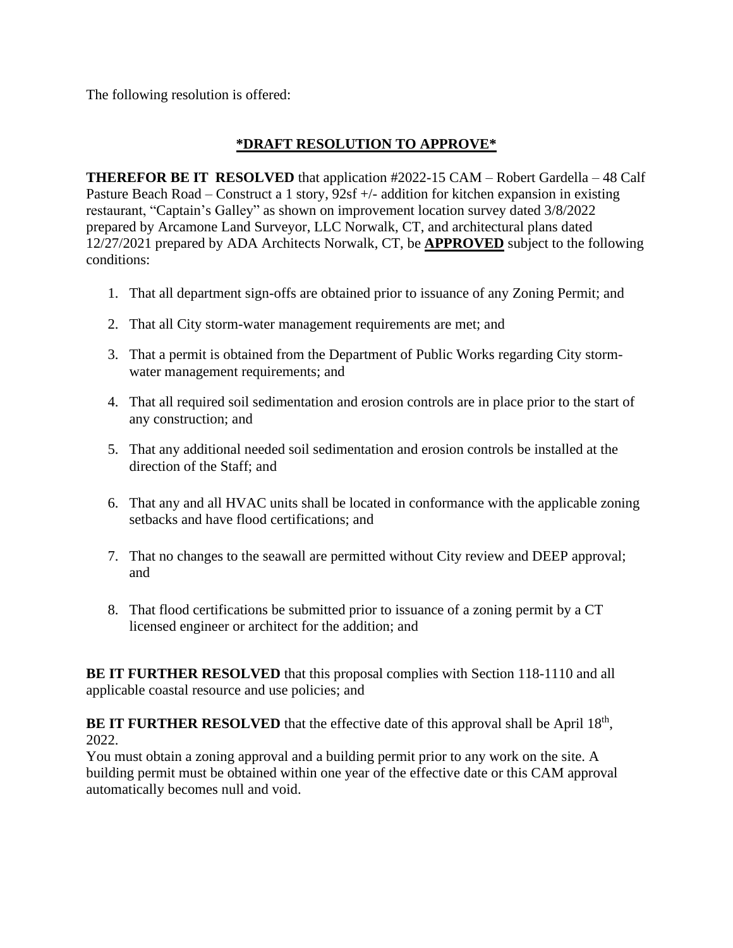The following resolution is offered:

## **\*DRAFT RESOLUTION TO APPROVE\***

**THEREFOR BE IT RESOLVED** that application #2022-15 CAM – Robert Gardella – 48 Calf Pasture Beach Road – Construct a 1 story, 92sf +/- addition for kitchen expansion in existing restaurant, "Captain's Galley" as shown on improvement location survey dated 3/8/2022 prepared by Arcamone Land Surveyor, LLC Norwalk, CT, and architectural plans dated 12/27/2021 prepared by ADA Architects Norwalk, CT, be **APPROVED** subject to the following conditions:

- 1. That all department sign-offs are obtained prior to issuance of any Zoning Permit; and
- 2. That all City storm-water management requirements are met; and
- 3. That a permit is obtained from the Department of Public Works regarding City stormwater management requirements; and
- 4. That all required soil sedimentation and erosion controls are in place prior to the start of any construction; and
- 5. That any additional needed soil sedimentation and erosion controls be installed at the direction of the Staff; and
- 6. That any and all HVAC units shall be located in conformance with the applicable zoning setbacks and have flood certifications; and
- 7. That no changes to the seawall are permitted without City review and DEEP approval; and
- 8. That flood certifications be submitted prior to issuance of a zoning permit by a CT licensed engineer or architect for the addition; and

**BE IT FURTHER RESOLVED** that this proposal complies with Section 118-1110 and all applicable coastal resource and use policies; and

**BE IT FURTHER RESOLVED** that the effective date of this approval shall be April 18<sup>th</sup>, 2022.

You must obtain a zoning approval and a building permit prior to any work on the site. A building permit must be obtained within one year of the effective date or this CAM approval automatically becomes null and void.